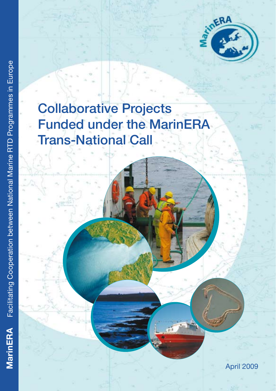

# Collaborative Projects Funded under the MarinERA Trans-National Call

April 2009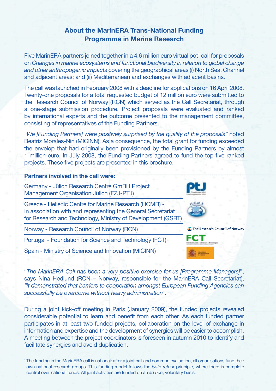# About the MarinERA Trans-National Funding Programme in Marine Research

Five MarinERA partners joined together in a 4.6 million euro virtual pot<sup>1</sup> call for proposals on *Changes in marine ecosystems and functional biodiversity in relation to global change and other anthropogenic impacts* covering the geographical areas (i) North Sea, Channel and adjacent areas; and (ii) Mediterranean and exchanges with adjacent basins.

The call was launched in February 2008 with a deadline for applications on 16 April 2008. Twenty-one proposals for a total requested budget of 12 million euro were submitted to the Research Council of Norway (RCN) which served as the Call Secretariat, through a one-stage submission procedure. Project proposals were evaluated and ranked by international experts and the outcome presented to the management committee, consisting of representatives of the Funding Partners.

*"We [Funding Partners] were positively surprised by the quality of the proposals"* noted Beatriz Morales-Nin (MICINN). As a consequence, the total grant for funding exceeded the envelop that had originally been provisioned by the Funding Partners by almost 1 million euro. In July 2008, the Funding Partners agreed to fund the top five ranked projects. These five projects are presented in this brochure.

# Partners involved in the call were:

Germany - Jülich Research Centre GmBH Project Management Organisation Jülich (FZJ-PTJ)

Greece - Hellenic Centre for Marine Research (HCMR) - In association with and representing the General Secretariat for Research and Technology, Ministry of Development (GSRT)

Norway - Research Council of Norway (RCN)

Portugal - Foundation for Science and Technology (FCT)

Spain - Ministry of Science and Innovation (MICINN)

"*The MarinERA Call has been a very positive exercise for us [Programme Managers]*", says Nina Hedlund (RCN – Norway, responsible for the MarinERA Call Secretariat), *"it demonstrated that barriers to cooperation amongst European Funding Agencies can successfully be overcome without heavy administration".*

During a joint kick-off meeting in Paris (January 2009), the funded projects revealed considerable potential to learn and benefit from each other. As each funded partner participates in at least two funded projects, collaboration on the level of exchange in information and expertise and the development of synergies will be easier to accomplish. A meeting between the project coordinators is foreseen in autumn 2010 to identify and facilitate synergies and avoid duplication.





<sup>1</sup>The funding in the MarinERA call is national: after a joint call and common evaluation, all organisations fund their own national research groups. This funding model follows the *juste-retour* principle, where there is complete control over national funds. All joint activities are funded on an *ad hoc*, voluntary basis.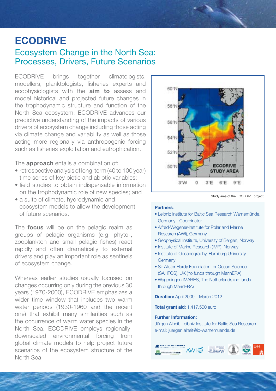# ECODRIVE

# Ecosystem Change in the North Sea: Processes, Drivers, Future Scenarios

ECODRIVE brings together climatologists, modellers, planktologists, fisheries experts and ecophysiologists with the **aim to** assess and model historical and projected future changes in the trophodynamic structure and function of the North Sea ecosystem. ECODRIVE advances our predictive understanding of the impacts of various drivers of ecosystem change including those acting via climate change and variability as well as those acting more regionally via anthropogenic forcing such as fisheries exploitation and eutrophication.

The **approach** entails a combination of:

- retrospective analysis of long-term (40 to 100 year) time series of key biotic and abiotic variables;
- field studies to obtain indispensable information on the trophodynamic role of new species; and
- a suite of climate, hydrodynamic and ecosystem models to allow the development of future scenarios.

The **focus** will be on the pelagic realm as groups of pelagic organisms (e.g. phyto-, zooplankton and small pelagic fishes) react rapidly and often dramatically to external drivers and play an important role as sentinels of ecosystem change.

Whereas earlier studies usually focused on changes occurring only during the previous 30 years (1970-2000), ECODRIVE emphasizes a wider time window that includes two warm water periods (1930-1960 and the recent one) that exhibit many similarities such as the occurrence of warm water species in the North Sea. ECODRIVE employs regionallydownscaled environmental forcing from global climate models to help project future scenarios of the ecosystem structure of the North Sea.



Study area of the ECODRIVE project

#### Partners:

- Leibniz Institute for Baltic Sea Research Warnemünde, Germany - Coordinator
- Alfred-Wegener-Institute for Polar and Marine Research (AWI), Germany
- Geophysical Institute, University of Bergen, Norway
- Institute of Marine Research (IMR), Norway
- Institute of Oceanography, Hamburg University, **Germany**
- Sir Alister Hardy Foundation for Ocean Science (SAHFOS), UK (no funds through MarinERA)
- Wageningen IMARES, The Netherlands (no funds through MarinERA)

Duration: April 2009 – March 2012

Total grant aid: 1,417,500 euro

### Further Information:

Jürgen Alheit, Leibniz Institute for Baltic Sea Research e-mail: juergen.alheit@io-warnemuende.de

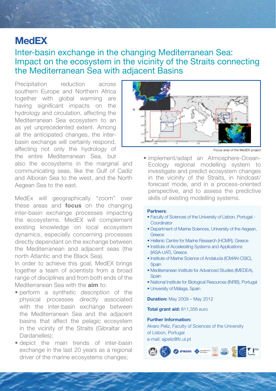# **MedEX**

# Inter-basin exchange in the changing Mediterranean Sea: Impact on the ecosystem in the vicinity of the Straits connecting the Mediterranean Sea with adjacent Basins

Precipitation reduction across southern Europe and Northern Africa together with global warming are having significant impacts on the hydrology and circulation, affecting the Mediterranean Sea ecosystem to an as yet unprecedented extent. Among all the anticipated changes, the interbasin exchange will certainly respond, affecting not only the hydrology of the entire Mediterranean Sea, but

also the ecosystems in the marginal and communicating seas, like the Gulf of Cadiz and Alboran Sea to the west, and the North Aegean Sea to the east.

MedEx will geographically "zoom" over these areas and **focus** on the changing inter-basin exchange processes impacting the ecosystems. MedEX will complement existing knowledge on local ecosystem dynamics, especially concerning processes directly dependant on the exchange between the Mediterranean and adjacent seas (the north Atlantic and the Black Sea).

In order to achieve this goal, MedEX brings together a team of scientists from a broad range of disciplines and from both ends of the Mediterranean Sea with the **aim** to:

- perform a synthetic description of the physical processes directly associated with the inter-basin exchange between the Mediterranean Sea and the adjacent basins that affect the pelagic ecosystem in the vicinity of the Straits (Gibraltar and Dardanelles);
- depict the main trends of inter-basin exchange in the last 20 years as a regional driver of the marine ecosystems changes;



Focus area of the MedEX project

• implement/adapt an Atmosphere-Ocean-Ecology regional modelling system to investigate and predict ecosystem changes in the vicinity of the Straits, in hindcast/ forecast mode, and in a process-oriented perspective, and to assess the predictive skills of existing modelling systems.

### Partners:

- Faculty of Sciences of the University of Lisbon, Portugal **Coordinator**
- Department of Marine Sciences, University of the Aegean, **Greece**
- Hellenic Centre for Marine Research (HCMR), Greece
- Institute of Accelerating Systems and Applications (IASA-UAT), Greece
- Institute of Marine Science of Andalucía (ICMAN-CSIC), **Spain**
- Mediterranean Institute for Advanced Studies (IMEDEA), **Spain**
- National Institute for Biological Resources (INRB), Portugal
- University of Málaga, Spain

**Duration: May 2009 – May 2012** 

Total grant aid: 811,356 euro

### Further Information:

Alvaro Peliz, Faculty of Sciences of the University of Lisbon, Portugal e-mail: ajpeliz@fc.ul.pt

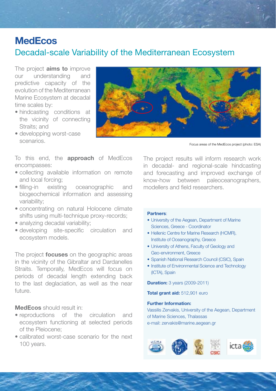# **MedEcos**

# Decadal-scale Variability of the Mediterranean Ecosystem

The project **aims to** improve our understanding and predictive capacity of the evolution of the Mediterranean Marine Ecosystem at decadal time scales by:

- hindcasting conditions at the vicinity of connecting Straits; and
- developping worst-case scenarios.

Focus areas of the MedEcos project (photo: ESA)

To this end, the **approach** of MedEcos encompasses:

- collecting available information on remote and local forcing;
- filling-in existing oceanographic and biogeochemical information and assessing variability;
- concentrating on natural Holocene climate shifts using multi-technique proxy-records;
- analyzing decadal variability;
- developing site-specific circulation and ecosystem models.

The project **focuses** on the geographic areas in the vicinity of the Gibraltar and Dardanelles Straits. Temporally, MedEcos will focus on periods of decadal length extending back to the last deglaciation, as well as the near future.

# MedEcos should result in:

- reproductions of the circulation and ecosystem functioning at selected periods of the Pleiocene;
- calibrated worst-case scenario for the next 100 years.

The project results will inform research work in decadal- and regional-scale hindcasting and forecasting and improved exchange of know-how between paleoceanographers, modellers and field researchers.

### Partners:

- University of the Aegean, Department of Marine Sciences, Greece - Coordinator
- Hellenic Centre for Marine Research (HCMR), Institute of Oceanography, Greece
- University of Athens, Faculty of Geology and Geo-environment, Greece
- Spanish National Research Council (CSIC), Spain
- Institute of Environmental Science and Technology (ICTA), Spain

**Duration:** 3 years (2009-2011)

Total grant aid: 512,901 euro

### Further Information:

Vassilis Zervakis, University of the Aegean, Department of Marine Sciences, Thalassas e-mail: zervakis@marine.aegean.gr

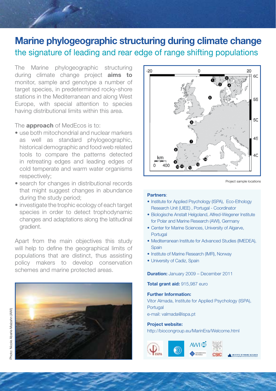# Marine phylogeographic structuring during climate change the signature of leading and rear edge of range shifting populations

The Marine phylogeographic structuring during climate change project **aims to** monitor, sample and genotype a number of target species, in predetermined rocky-shore stations in the Mediterranean and along West Europe, with special attention to species having distributional limits within this area.

The **approach** of MedEcos is to:

- use both mitochondrial and nuclear markers as well as standard phylogeographic, historical demographic and food web related tools to compare the patterns detected in retreating edges and leading edges of cold temperate and warm water organisms respectively;
- search for changes in distributional records that might suggest changes in abundance during the study period;
- investigate the trophic ecology of each target species in order to detect trophodynamic changes and adaptations along the latitudinal gradient.

Apart from the main objectives this study will help to define the geographical limits of populations that are distinct, thus assisting policy makers to develop conservation schemes and marine protected areas.





Project sample locations

### Partners:

- Institute for Applied Psychology (ISPA), Eco-Ethology Research Unit (UIEE) , Portugal - Coordinator
- Biologische Anstalt Helgoland, Alfred-Wegener Institute for Polar and Marine Research (AWI), Germany
- Center for Marine Sciences, University of Algarve, Portugal
- Mediterranean Institute for Advanced Studies (IMEDEA), **Spain**
- Institute of Marine Research (IMR), Norway
- University of Cadiz, Spain

Duration: January 2009 – December 2011

Total grant aid: 915,987 euro

### Further Information:

Vitor Almada, Institute for Applied Psychology (ISPA), **Portugal** e-mail: valmada@ispa.pt

### Project website:

http://biocongroup.eu/MarinEra/Welcome.html

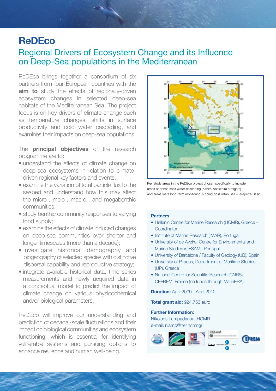# **ReDEco**

# Regional Drivers of Ecosystem Change and its Influence on Deep-Sea populations in the Mediterranean

ReDEco brings together a consortium of six partners from four European countries with the aim to study the effects of regionally-driven ecosystem changes in selected deep-sea habitats of the Mediterranean Sea. The project focus is on key drivers of climate change such as temperature changes, shifts in surface productivity and cold water cascading, and examines their impacts on deep-sea populations.

The **principal objectives** of the research programme are to:

- understand the effects of climate change on deep-sea ecosystems in relation to climatedriven regional key factors and events;
- examine the variation of total particle flux to the seabed and understand how this may affect the micro-, meio-, macro-, and megabenthic communities;
- study benthic community responses to varying food supply;
- examine the effects of climate induced changes on deep-sea communities over shorter and longer timescales (more than a decade);
- investigate historical demography and biogeography of selected species with distinctive dispersal capability and reproductive strategy;
- integrate available historical data, time series measurements and newly acquired data in a conceptual model to predict the impact of climate change on various physicochemical and/or biological parameters.

ReDEco will improve our understanding and prediction of decadal-scale fluctuations and their impact on biological communities and ecosystem functioning, which is essential for identifying vulnerable systems and pursuing options to enhance resilience and human well-being.



Key study areas in the ReDEco project chosen specifically to include areas of dense shelf water cascading (Kithira-Antikithira straights) and areas were long-term monitoring is going on (Cretan Sea – Ierapetra Basin)

### Partners:

- Hellenic Centre for Marine Research (HCMR), Greece **Coordinator**
- Institute of Marine Research (IMAR), Portugal
- University of de Aveiro, Centre for Environmental and Marine Studies (CESAM), Portugal
- University of Barcelona / Faculty of Geology (UB), Spain
- University of Piraeus, Department of Maritime Studies (UP), Greece
- National Centre for Scientific Research (CNRS), CEFREM, France (no funds through MarinERA)

Duration: April 2009 - April 2012

Total grant aid: 924,753 euro

#### Further Information:

Nikolaos Lampadariou, HCMR e-mail: nlamp@her.hcmr.gr